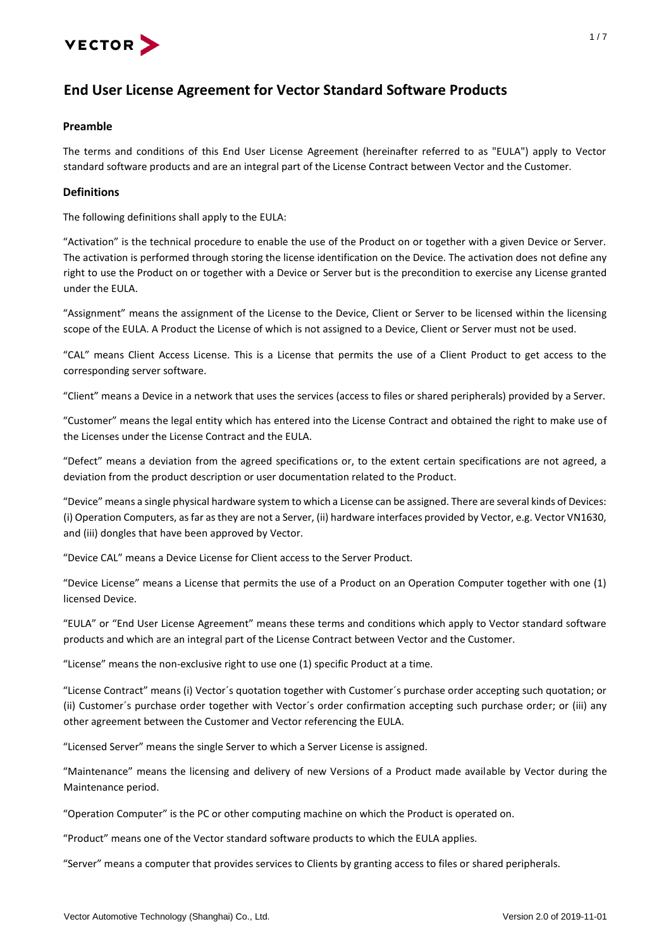

# **End User License Agreement for Vector Standard Software Products**

# **Preamble**

The terms and conditions of this End User License Agreement (hereinafter referred to as "EULA") apply to Vector standard software products and are an integral part of the License Contract between Vector and the Customer.

# **Definitions**

The following definitions shall apply to the EULA:

"Activation" is the technical procedure to enable the use of the Product on or together with a given Device or Server. The activation is performed through storing the license identification on the Device. The activation does not define any right to use the Product on or together with a Device or Server but is the precondition to exercise any License granted under the EULA.

"Assignment" means the assignment of the License to the Device, Client or Server to be licensed within the licensing scope of the EULA. A Product the License of which is not assigned to a Device, Client or Server must not be used.

"CAL" means Client Access License. This is a License that permits the use of a Client Product to get access to the corresponding server software.

"Client" means a Device in a network that uses the services (access to files or shared peripherals) provided by a Server.

"Customer" means the legal entity which has entered into the License Contract and obtained the right to make use of the Licenses under the License Contract and the EULA.

"Defect" means a deviation from the agreed specifications or, to the extent certain specifications are not agreed, a deviation from the product description or user documentation related to the Product.

"Device" means a single physical hardware system to which a License can be assigned. There are several kinds of Devices: (i) Operation Computers, as far as they are not a Server, (ii) hardware interfaces provided by Vector, e.g. Vector VN1630, and (iii) dongles that have been approved by Vector.

"Device CAL" means a Device License for Client access to the Server Product.

"Device License" means a License that permits the use of a Product on an Operation Computer together with one (1) licensed Device.

"EULA" or "End User License Agreement" means these terms and conditions which apply to Vector standard software products and which are an integral part of the License Contract between Vector and the Customer.

"License" means the non-exclusive right to use one (1) specific Product at a time.

"License Contract" means (i) Vector´s quotation together with Customer´s purchase order accepting such quotation; or (ii) Customer´s purchase order together with Vector´s order confirmation accepting such purchase order; or (iii) any other agreement between the Customer and Vector referencing the EULA.

"Licensed Server" means the single Server to which a Server License is assigned.

"Maintenance" means the licensing and delivery of new Versions of a Product made available by Vector during the Maintenance period.

"Operation Computer" is the PC or other computing machine on which the Product is operated on.

"Product" means one of the Vector standard software products to which the EULA applies.

"Server" means a computer that provides services to Clients by granting access to files or shared peripherals.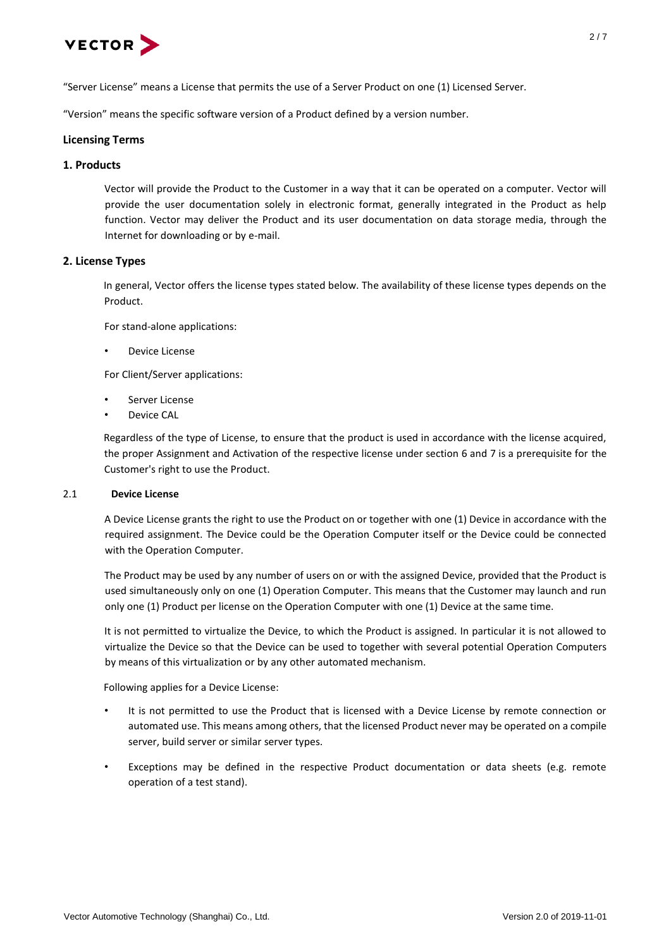

"Version" means the specific software version of a Product defined by a version number.

# **Licensing Terms**

# **1. Products**

Vector will provide the Product to the Customer in a way that it can be operated on a computer. Vector will provide the user documentation solely in electronic format, generally integrated in the Product as help function. Vector may deliver the Product and its user documentation on data storage media, through the Internet for downloading or by e-mail.

# **2. License Types**

In general, Vector offers the license types stated below. The availability of these license types depends on the Product.

For stand-alone applications:

Device License

For Client/Server applications:

- Server License
- Device CAL

Regardless of the type of License, to ensure that the product is used in accordance with the license acquired, the proper Assignment and Activation of the respective license under section 6 and 7 is a prerequisite for the Customer's right to use the Product.

### 2.1 **Device License**

A Device License grants the right to use the Product on or together with one (1) Device in accordance with the required assignment. The Device could be the Operation Computer itself or the Device could be connected with the Operation Computer.

The Product may be used by any number of users on or with the assigned Device, provided that the Product is used simultaneously only on one (1) Operation Computer. This means that the Customer may launch and run only one (1) Product per license on the Operation Computer with one (1) Device at the same time.

It is not permitted to virtualize the Device, to which the Product is assigned. In particular it is not allowed to virtualize the Device so that the Device can be used to together with several potential Operation Computers by means of this virtualization or by any other automated mechanism.

Following applies for a Device License:

- It is not permitted to use the Product that is licensed with a Device License by remote connection or automated use. This means among others, that the licensed Product never may be operated on a compile server, build server or similar server types.
- Exceptions may be defined in the respective Product documentation or data sheets (e.g. remote operation of a test stand).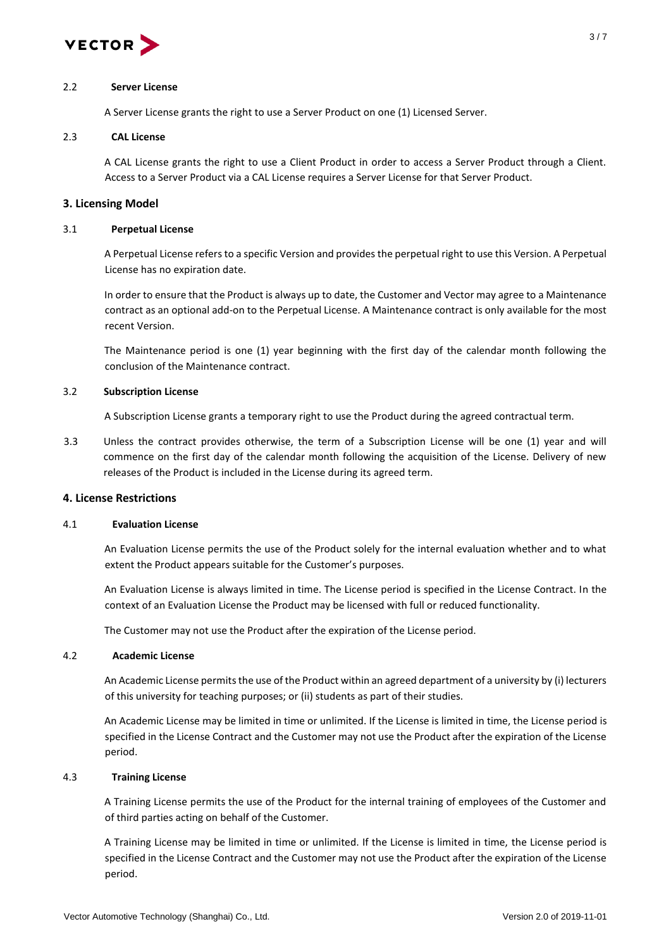

### 2.2 **Server License**

A Server License grants the right to use a Server Product on one (1) Licensed Server.

# 2.3 **CAL License**

A CAL License grants the right to use a Client Product in order to access a Server Product through a Client. Access to a Server Product via a CAL License requires a Server License for that Server Product.

# **3. Licensing Model**

# 3.1 **Perpetual License**

A Perpetual License refers to a specific Version and provides the perpetual right to use this Version. A Perpetual License has no expiration date.

In order to ensure that the Product is always up to date, the Customer and Vector may agree to a Maintenance contract as an optional add-on to the Perpetual License. A Maintenance contract is only available for the most recent Version.

The Maintenance period is one (1) year beginning with the first day of the calendar month following the conclusion of the Maintenance contract.

# 3.2 **Subscription License**

A Subscription License grants a temporary right to use the Product during the agreed contractual term.

3.3 Unless the contract provides otherwise, the term of a Subscription License will be one (1) year and will commence on the first day of the calendar month following the acquisition of the License. Delivery of new releases of the Product is included in the License during its agreed term.

# **4. License Restrictions**

### 4.1 **Evaluation License**

An Evaluation License permits the use of the Product solely for the internal evaluation whether and to what extent the Product appears suitable for the Customer's purposes.

An Evaluation License is always limited in time. The License period is specified in the License Contract. In the context of an Evaluation License the Product may be licensed with full or reduced functionality.

The Customer may not use the Product after the expiration of the License period.

### 4.2 **Academic License**

An Academic License permits the use of the Product within an agreed department of a university by (i) lecturers of this university for teaching purposes; or (ii) students as part of their studies.

An Academic License may be limited in time or unlimited. If the License is limited in time, the License period is specified in the License Contract and the Customer may not use the Product after the expiration of the License period.

# 4.3 **Training License**

A Training License permits the use of the Product for the internal training of employees of the Customer and of third parties acting on behalf of the Customer.

A Training License may be limited in time or unlimited. If the License is limited in time, the License period is specified in the License Contract and the Customer may not use the Product after the expiration of the License period.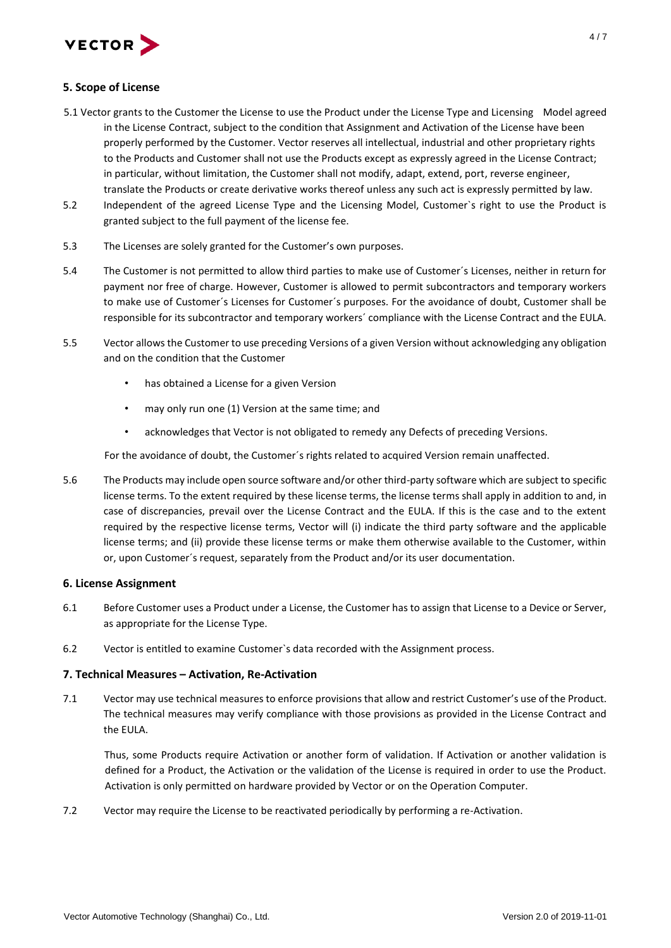

# **5. Scope of License**

- 5.1 Vector grants to the Customer the License to use the Product under the License Type and Licensing Model agreed in the License Contract, subject to the condition that Assignment and Activation of the License have been properly performed by the Customer. Vector reserves all intellectual, industrial and other proprietary rights to the Products and Customer shall not use the Products except as expressly agreed in the License Contract; in particular, without limitation, the Customer shall not modify, adapt, extend, port, reverse engineer, translate the Products or create derivative works thereof unless any such act is expressly permitted by law.
- 5.2 Independent of the agreed License Type and the Licensing Model, Customer`s right to use the Product is granted subject to the full payment of the license fee.
- 5.3 The Licenses are solely granted for the Customer's own purposes.
- 5.4 The Customer is not permitted to allow third parties to make use of Customer´s Licenses, neither in return for payment nor free of charge. However, Customer is allowed to permit subcontractors and temporary workers to make use of Customer´s Licenses for Customer´s purposes. For the avoidance of doubt, Customer shall be responsible for its subcontractor and temporary workers´ compliance with the License Contract and the EULA.
- 5.5 Vector allows the Customer to use preceding Versions of a given Version without acknowledging any obligation and on the condition that the Customer
	- has obtained a License for a given Version
	- may only run one (1) Version at the same time; and
	- acknowledges that Vector is not obligated to remedy any Defects of preceding Versions.

For the avoidance of doubt, the Customer´s rights related to acquired Version remain unaffected.

5.6 The Products may include open source software and/or other third-party software which are subject to specific license terms. To the extent required by these license terms, the license terms shall apply in addition to and, in case of discrepancies, prevail over the License Contract and the EULA. If this is the case and to the extent required by the respective license terms, Vector will (i) indicate the third party software and the applicable license terms; and (ii) provide these license terms or make them otherwise available to the Customer, within or, upon Customer´s request, separately from the Product and/or its user documentation.

# **6. License Assignment**

- 6.1 Before Customer uses a Product under a License, the Customer has to assign that License to a Device or Server, as appropriate for the License Type.
- 6.2 Vector is entitled to examine Customer`s data recorded with the Assignment process.

# **7. Technical Measures – Activation, Re-Activation**

7.1 Vector may use technical measures to enforce provisions that allow and restrict Customer's use of the Product. The technical measures may verify compliance with those provisions as provided in the License Contract and the EULA.

Thus, some Products require Activation or another form of validation. If Activation or another validation is defined for a Product, the Activation or the validation of the License is required in order to use the Product. Activation is only permitted on hardware provided by Vector or on the Operation Computer.

7.2 Vector may require the License to be reactivated periodically by performing a re-Activation.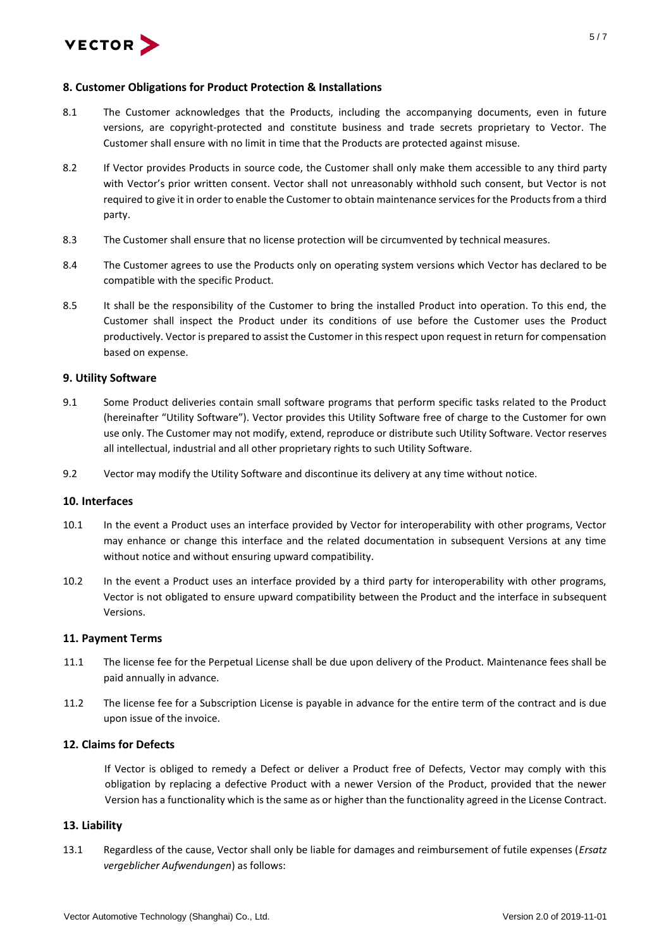

# **8. Customer Obligations for Product Protection & Installations**

- 8.1 The Customer acknowledges that the Products, including the accompanying documents, even in future versions, are copyright-protected and constitute business and trade secrets proprietary to Vector. The Customer shall ensure with no limit in time that the Products are protected against misuse.
- 8.2 If Vector provides Products in source code, the Customer shall only make them accessible to any third party with Vector's prior written consent. Vector shall not unreasonably withhold such consent, but Vector is not required to give it in order to enable the Customer to obtain maintenance services for the Products from a third party.
- 8.3 The Customer shall ensure that no license protection will be circumvented by technical measures.
- 8.4 The Customer agrees to use the Products only on operating system versions which Vector has declared to be compatible with the specific Product.
- 8.5 It shall be the responsibility of the Customer to bring the installed Product into operation. To this end, the Customer shall inspect the Product under its conditions of use before the Customer uses the Product productively. Vector is prepared to assist the Customer in this respect upon request in return for compensation based on expense.

# **9. Utility Software**

- 9.1 Some Product deliveries contain small software programs that perform specific tasks related to the Product (hereinafter "Utility Software"). Vector provides this Utility Software free of charge to the Customer for own use only. The Customer may not modify, extend, reproduce or distribute such Utility Software. Vector reserves all intellectual, industrial and all other proprietary rights to such Utility Software.
- 9.2 Vector may modify the Utility Software and discontinue its delivery at any time without notice.

### **10. Interfaces**

- 10.1 In the event a Product uses an interface provided by Vector for interoperability with other programs, Vector may enhance or change this interface and the related documentation in subsequent Versions at any time without notice and without ensuring upward compatibility.
- 10.2 In the event a Product uses an interface provided by a third party for interoperability with other programs, Vector is not obligated to ensure upward compatibility between the Product and the interface in subsequent Versions.

### **11. Payment Terms**

- 11.1 The license fee for the Perpetual License shall be due upon delivery of the Product. Maintenance fees shall be paid annually in advance.
- 11.2 The license fee for a Subscription License is payable in advance for the entire term of the contract and is due upon issue of the invoice.

# **12. Claims for Defects**

If Vector is obliged to remedy a Defect or deliver a Product free of Defects, Vector may comply with this obligation by replacing a defective Product with a newer Version of the Product, provided that the newer Version has a functionality which is the same as or higher than the functionality agreed in the License Contract.

### **13. Liability**

13.1 Regardless of the cause, Vector shall only be liable for damages and reimbursement of futile expenses (*Ersatz vergeblicher Aufwendungen*) as follows: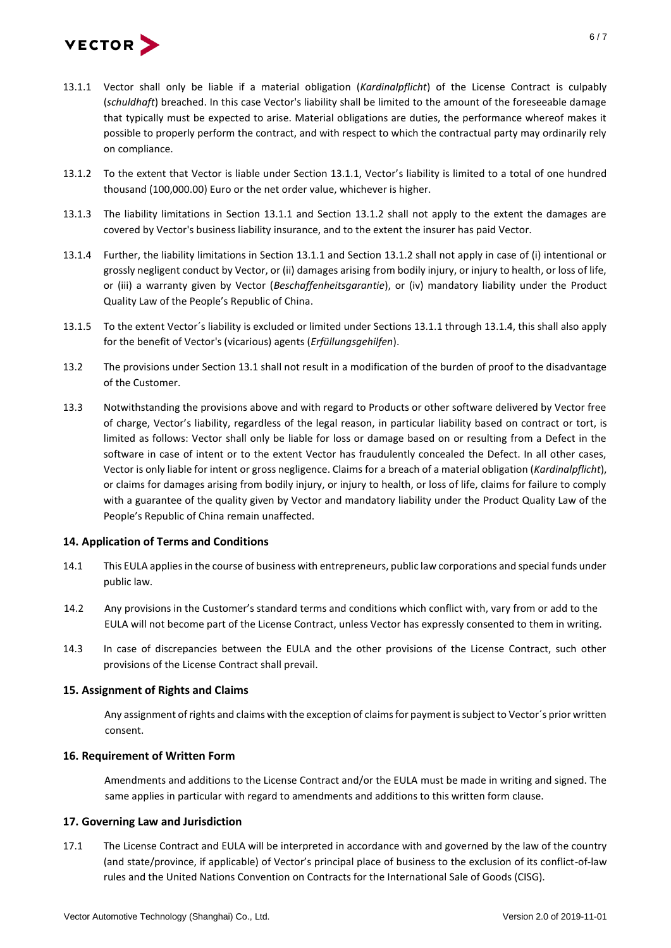

- 13.1.1 Vector shall only be liable if a material obligation (*Kardinalpflicht*) of the License Contract is culpably (*schuldhaft*) breached. In this case Vector's liability shall be limited to the amount of the foreseeable damage that typically must be expected to arise. Material obligations are duties, the performance whereof makes it possible to properly perform the contract, and with respect to which the contractual party may ordinarily rely on compliance.
- 13.1.2 To the extent that Vector is liable under Section 13.1.1, Vector's liability is limited to a total of one hundred thousand (100,000.00) Euro or the net order value, whichever is higher.
- 13.1.3 The liability limitations in Section 13.1.1 and Section 13.1.2 shall not apply to the extent the damages are covered by Vector's business liability insurance, and to the extent the insurer has paid Vector.
- 13.1.4 Further, the liability limitations in Section 13.1.1 and Section 13.1.2 shall not apply in case of (i) intentional or grossly negligent conduct by Vector, or (ii) damages arising from bodily injury, or injury to health, or loss of life, or (iii) a warranty given by Vector (*Beschaffenheitsgarantie*), or (iv) mandatory liability under the Product Quality Law of the People's Republic of China.
- 13.1.5 To the extent Vector´s liability is excluded or limited under Sections 13.1.1 through 13.1.4, this shall also apply for the benefit of Vector's (vicarious) agents (*Erfüllungsgehilfen*).
- 13.2 The provisions under Section 13.1 shall not result in a modification of the burden of proof to the disadvantage of the Customer.
- 13.3 Notwithstanding the provisions above and with regard to Products or other software delivered by Vector free of charge, Vector's liability, regardless of the legal reason, in particular liability based on contract or tort, is limited as follows: Vector shall only be liable for loss or damage based on or resulting from a Defect in the software in case of intent or to the extent Vector has fraudulently concealed the Defect. In all other cases, Vector is only liable for intent or gross negligence. Claims for a breach of a material obligation (*Kardinalpflicht*), or claims for damages arising from bodily injury, or injury to health, or loss of life, claims for failure to comply with a guarantee of the quality given by Vector and mandatory liability under the Product Quality Law of the People's Republic of China remain unaffected.

# **14. Application of Terms and Conditions**

- 14.1 This EULA applies in the course of business with entrepreneurs, public law corporations and special funds under public law.
- 14.2 Any provisions in the Customer's standard terms and conditions which conflict with, vary from or add to the EULA will not become part of the License Contract, unless Vector has expressly consented to them in writing.
- 14.3 In case of discrepancies between the EULA and the other provisions of the License Contract, such other provisions of the License Contract shall prevail.

# **15. Assignment of Rights and Claims**

Any assignment of rights and claims with the exception of claims for payment is subject to Vector´s prior written consent.

# **16. Requirement of Written Form**

Amendments and additions to the License Contract and/or the EULA must be made in writing and signed. The same applies in particular with regard to amendments and additions to this written form clause.

# **17. Governing Law and Jurisdiction**

17.1 The License Contract and EULA will be interpreted in accordance with and governed by the law of the country (and state/province, if applicable) of Vector's principal place of business to the exclusion of its conflict-of-law rules and the United Nations Convention on Contracts for the International Sale of Goods (CISG).